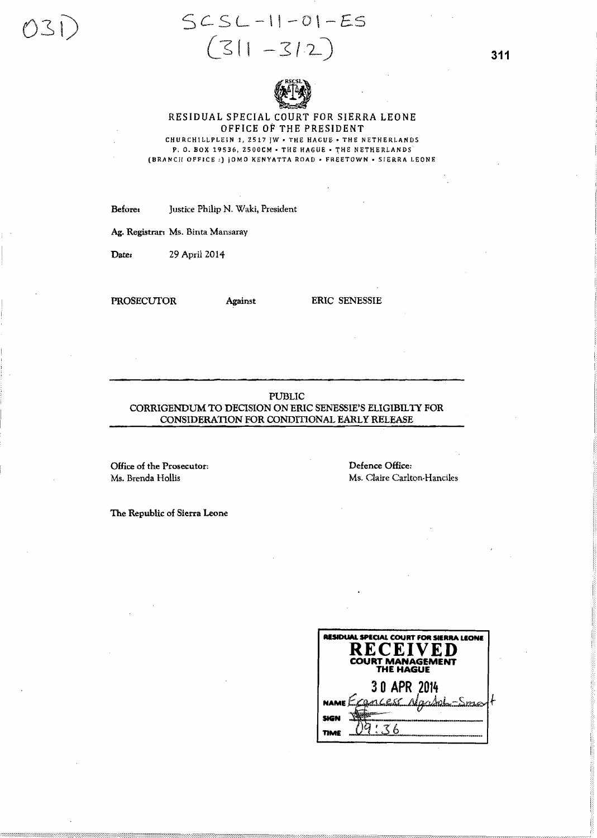# $SCSL-11-01-ES$  $(311 - 312)$



### RESIDUAL SPECIAL COURT FOR SIERRA LEONE OFFICE OF THE PRESIDENT CHURCHILLPLEIN 1, 2517 JW - THE HAGUE - THE NETHERLANDS

P. O. BOX 19536, 2500CM - THE HAGUE - THE NETHERLANDS (BRANCH OFFICE: ) JOMO KENYATTA ROAD . FREETOWN . SIERRA LEONE

Justice Philip N. Waki, President Before:

Ag. Registrar: Ms. Binta Mansaray

**Date:** 29 April 2014

**PROSECUTOR** 

Against

**ERIC SENESSIE** 

# **PUBLIC** CORRIGENDUM TO DECISION ON ERIC SENESSIE'S ELIGIBILTY FOR CONSIDERATION FOR CONDITIONAL EARLY RELEASE

Office of the Prosecutor: Ms. Brenda Hollis

Defence Office: Ms. Claire Carlton-Hanciles

The Republic of Sierra Leone

| <b>RESIDUAL SPECIAL COURT FOR SIERRA LEONE</b><br><b>RECEIVED</b><br><b>COURT MANAGEMENT</b><br><b>THE HAGUE</b> |                         |  |
|------------------------------------------------------------------------------------------------------------------|-------------------------|--|
|                                                                                                                  | 30 APR 2014             |  |
|                                                                                                                  | NAME Exances Naddal-Sma |  |
| tici                                                                                                             |                         |  |
|                                                                                                                  |                         |  |